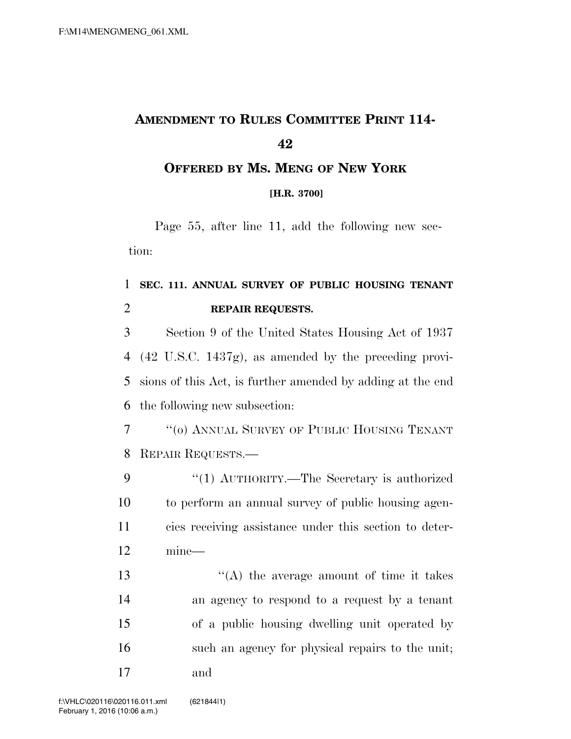## **AMENDMENT TO RULES COMMITTEE PRINT 114-**

## **OFFERED BY MS. MENG OF NEW YORK**

**[H.R. 3700]**

Page 55, after line 11, add the following new section:

## **SEC. 111. ANNUAL SURVEY OF PUBLIC HOUSING TENANT REPAIR REQUESTS.**

 Section 9 of the United States Housing Act of 1937 (42 U.S.C. 1437g), as amended by the preceding provi- sions of this Act, is further amended by adding at the end the following new subsection:

 ''(o) ANNUAL SURVEY OF PUBLIC HOUSING TENANT REPAIR REQUESTS.—

9 "(1) AUTHORITY.—The Secretary is authorized to perform an annual survey of public housing agen- cies receiving assistance under this section to deter-mine—

13 ''(A) the average amount of time it takes an agency to respond to a request by a tenant of a public housing dwelling unit operated by such an agency for physical repairs to the unit; and